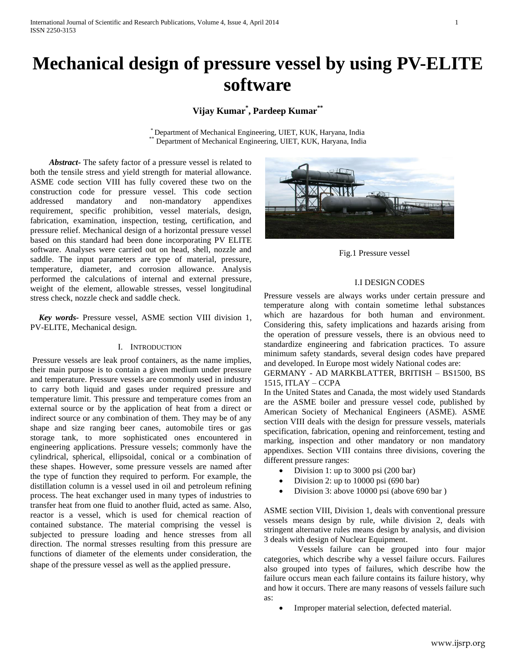# **Mechanical design of pressure vessel by using PV-ELITE software**

## **Vijay Kumar\* , Pardeep Kumar\*\***

\* Department of Mechanical Engineering, UIET, KUK, Haryana, India Department of Mechanical Engineering, UIET, KUK, Haryana, India

 *Abstract***-** The safety factor of a pressure vessel is related to both the tensile stress and yield strength for material allowance. ASME code section VIII has fully covered these two on the construction code for pressure vessel. This code section addressed mandatory and non-mandatory appendixes requirement, specific prohibition, vessel materials, design, fabrication, examination, inspection, testing, certification, and pressure relief. Mechanical design of a horizontal pressure vessel based on this standard had been done incorporating PV ELITE software. Analyses were carried out on head, shell, nozzle and saddle. The input parameters are type of material, pressure, temperature, diameter, and corrosion allowance. Analysis performed the calculations of internal and external pressure, weight of the element, allowable stresses, vessel longitudinal stress check, nozzle check and saddle check.

 *Key words-* Pressure vessel, ASME section VIII division 1, PV-ELITE, Mechanical design.

## I. INTRODUCTION

Pressure vessels are leak proof containers, as the name implies, their main purpose is to contain a given medium under pressure and temperature. Pressure vessels are commonly used in industry to carry both liquid and gases under required pressure and temperature limit. This pressure and temperature comes from an external source or by the application of heat from a direct or indirect source or any combination of them. They may be of any shape and size ranging beer canes, automobile tires or gas storage tank, to more sophisticated ones encountered in engineering applications. Pressure vessels; commonly have the cylindrical, spherical, ellipsoidal, conical or a combination of these shapes. However, some pressure vessels are named after the type of function they required to perform. For example, the distillation column is a vessel used in oil and petroleum refining process. The heat exchanger used in many types of industries to transfer heat from one fluid to another fluid, acted as same. Also, reactor is a vessel, which is used for chemical reaction of contained substance. The material comprising the vessel is subjected to pressure loading and hence stresses from all direction. The normal stresses resulting from this pressure are functions of diameter of the elements under consideration, the shape of the pressure vessel as well as the applied pressure.



Fig.1 Pressure vessel

## I.I DESIGN CODES

Pressure vessels are always works under certain pressure and temperature along with contain sometime lethal substances which are hazardous for both human and environment. Considering this, safety implications and hazards arising from the operation of pressure vessels, there is an obvious need to standardize engineering and fabrication practices. To assure minimum safety standards, several design codes have prepared and developed. In Europe most widely National codes are:

## GERMANY - AD MARKBLATTER, BRITISH – BS1500, BS 1515, ITLAY – CCPA

In the United States and Canada, the most widely used Standards are the ASME boiler and pressure vessel code, published by American Society of Mechanical Engineers (ASME). ASME section VIII deals with the design for pressure vessels, materials specification, fabrication, opening and reinforcement, testing and marking, inspection and other mandatory or non mandatory appendixes. Section VIII contains three divisions, covering the different pressure ranges:

- Division 1: up to 3000 psi (200 bar)
- Division 2: up to 10000 psi (690 bar)
- Division 3: above 10000 psi (above 690 bar )

ASME section VIII, Division 1, deals with conventional pressure vessels means design by rule, while division 2, deals with stringent alternative rules means design by analysis, and division 3 deals with design of Nuclear Equipment.

 Vessels failure can be grouped into four major categories, which describe why a vessel failure occurs. Failures also grouped into types of failures, which describe how the failure occurs mean each failure contains its failure history, why and how it occurs. There are many reasons of vessels failure such as:

Improper material selection, defected material.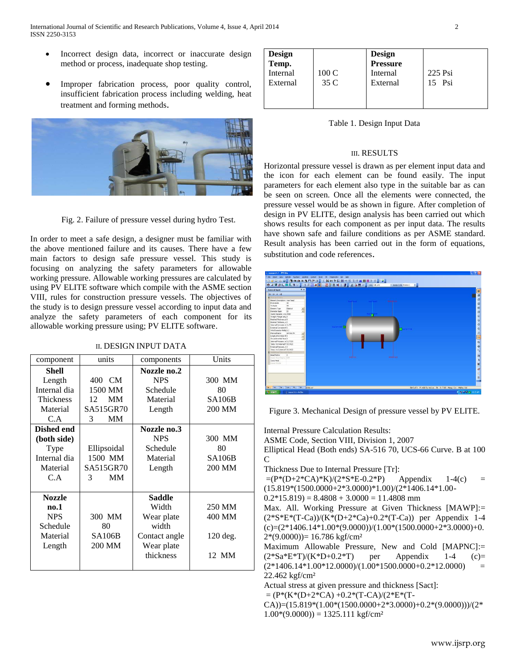- Incorrect design data, incorrect or inaccurate design method or process, inadequate shop testing.
- Improper fabrication process, poor quality control, insufficient fabrication process including welding, heat treatment and forming methods.



Fig. 2. Failure of pressure vessel during hydro Test.

In order to meet a safe design, a designer must be familiar with the above mentioned failure and its causes. There have a few main factors to design safe pressure vessel. This study is focusing on analyzing the safety parameters for allowable working pressure. Allowable working pressures are calculated by using PV ELITE software which compile with the ASME section VIII, rules for construction pressure vessels. The objectives of the study is to design pressure vessel according to input data and analyze the safety parameters of each component for its allowable working pressure using; PV ELITE software.

|  |  | II. DESIGN INPUT DATA |
|--|--|-----------------------|
|--|--|-----------------------|

| component         | units           | components    | Units         |
|-------------------|-----------------|---------------|---------------|
| Shell             |                 | Nozzle no.2   |               |
| Length            | 400 CM          | <b>NPS</b>    | 300 MM        |
| Internal dia      | 1500 MM         | Schedule      | 80            |
| <b>Thickness</b>  | <b>MM</b><br>12 | Material      | <b>SA106B</b> |
| Material          | SA515GR70       | Length        | 200 MM        |
| C.A               | MM<br>3         |               |               |
| <b>Dished end</b> |                 | Nozzle no.3   |               |
| (both side)       |                 | <b>NPS</b>    | 300 MM        |
| Type              | Ellipsoidal     | Schedule      | 80            |
| Internal dia      | 1500 MM         | Material      | <b>SA106B</b> |
| Material          | SA515GR70       | Length        | 200 MM        |
| C.A               | <b>MM</b><br>3  |               |               |
|                   |                 |               |               |
| <b>Nozzle</b>     |                 | <b>Saddle</b> |               |
| no.1              |                 | Width         | 250 MM        |
| <b>NPS</b>        | 300 MM          | Wear plate    | 400 MM        |
| Schedule          | 80              | width         |               |
| Material          | SA106B          | Contact angle | 120 deg.      |
| Length            | 200 MM          | Wear plate    |               |
|                   |                 | thickness     | 12 MM         |
|                   |                 |               |               |

| Design<br>Temp.<br>Internal<br>External | 100C<br>35 C | <b>Design<br/>Pressure</b><br>Internal<br>External | 225 Psi<br>15 Psi |
|-----------------------------------------|--------------|----------------------------------------------------|-------------------|
|                                         |              |                                                    |                   |

Table 1. Design Input Data

## III. RESULTS

Horizontal pressure vessel is drawn as per element input data and the icon for each element can be found easily. The input parameters for each element also type in the suitable bar as can be seen on screen. Once all the elements were connected, the pressure vessel would be as shown in figure. After completion of design in PV ELITE, design analysis has been carried out which shows results for each component as per input data. The results have shown safe and failure conditions as per ASME standard. Result analysis has been carried out in the form of equations, substitution and code references.



Figure 3. Mechanical Design of pressure vessel by PV ELITE.

Internal Pressure Calculation Results: ASME Code, Section VIII, Division 1, 2007 Elliptical Head (Both ends) SA-516 70, UCS-66 Curve. B at 100  $\mathcal{C}$ Thickness Due to Internal Pressure [Tr]:  $=(P^*(D+2*CA)*K)/(2*S*E-0.2*P)$  Appendix 1-4(c) = (15.819\*(1500.0000+2\*3.0000)\*1.00)/(2\*1406.14\*1.00-  $0.2*15.819$  = 8.4808 + 3.0000 = 11.4808 mm Max. All. Working Pressure at Given Thickness [MAWP]:=  $(2^*S^*E^*(T-Ca))/(K^*(D+2^*Ca)+0.2^*(T-Ca))$  per Appendix 1-4  $(c)=(2*1406.14*1.00*(9.0000))/(1.00*(1500.0000+2*3.0000)+0.$  $2*(9.0000) = 16.786$  kgf/cm<sup>2</sup> Maximum Allowable Pressure, New and Cold [MAPNC]:=  $(2*Sa*E*T)/(K*D+0.2*T)$  per Appendix 1-4 (c)=  $(2*1406.14*1.00*12.0000)/(1.00*1500.0000+0.2*12.0000)$ 22.462 kgf/cm² Actual stress at given pressure and thickness [Sact]:  $= (P*(K*(D+2*CA) + 0.2*(T-CA)/(2*E*(T-1)))$ CA))=(15.819\*(1.00\*(1500.0000+2\*3.0000)+0.2\*(9.0000)))/(2\*  $1.00*(9.0000) = 1325.111 \text{ kgf/cm}^2$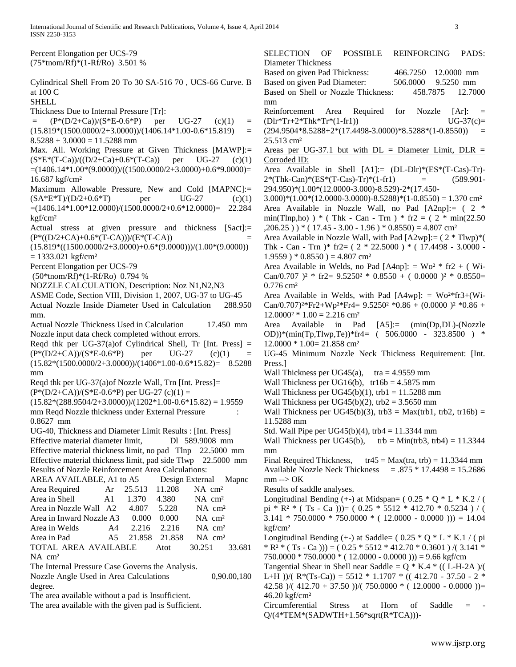Percent Elongation per UCS-79 (75\*tnom/Rf)\*(1-Rf/Ro) 3.501 %

- Cylindrical Shell From 20 To 30 SA-516 70 , UCS-66 Curve. B at 100 C
- **SHELL**
- Thickness Due to Internal Pressure [Tr]:
- $=$   $(P*(D/2+Ca))/(S*E-0.6*P)$  per UG-27 (c)(1) =  $(15.819*(1500.0000/2+3.0000))/(1406.14*1.00-0.6*15.819) =$  $8.5288 + 3.0000 = 11.5288$  mm
- Max. All. Working Pressure at Given Thickness [MAWP]:=  $(S*E*(T-Ca))/((D/2+Ca)+0.6*(T-Ca))$  per UG-27 (c)(1)  $=(1406.14*1.00*(9.0000))/((1500.0000/2+3.0000)+0.6*9.0000)=$ 16.687 kgf/cm²
- Maximum Allowable Pressure, New and Cold [MAPNC]:=  $(SA*E*T)/(D/2+0.6*T)$  per UG-27 (c)(1) =(1406.14\*1.00\*12.0000)/(1500.0000/2+0.6\*12.0000)= 22.284 kgf/cm²
- Actual stress at given pressure and thickness [Sact]:=  $(P*(D/2+CA)+0.6*(T-CA))/(E*(T-CA))$
- $(15.819*((1500.0000/2+3.0000)+0.6*(9.0000)))/(1.00*(9.0000))$  $= 1333.021$  kgf/cm<sup>2</sup>
- Percent Elongation per UCS-79
- (50\*tnom/Rf)\*(1-Rf/Ro) 0.794 %
- NOZZLE CALCULATION, Description: Noz N1,N2,N3
- ASME Code, Section VIII, Division 1, 2007, UG-37 to UG-45
- Actual Nozzle Inside Diameter Used in Calculation 288.950 mm.
- Actual Nozzle Thickness Used in Calculation 17.450 mm Nozzle input data check completed without errors.
- Reqd thk per UG-37(a) of Cylindrical Shell, Tr [Int. Press]  $=$  $(P*(D/2+CA))/(S*E-0.6*P)$  per UG-27 (c)(1)  $(15.82*(1500.0000/2+3.0000))/(1406*1.00-0.6*15.82)=$  8.5288 mm
- Reqd thk per UG-37(a)of Nozzle Wall, Trn [Int. Press]=
- $(P*(D/2+CA))/(S*E-0.6*P)$  per UG-27 (c)(1) =
- $(15.82*(288.9504/2+3.0000))/(1202*1.00-0.6*15.82) = 1.9559$ mm Reqd Nozzle thickness under External Pressure 0.8627 mm
- UG-40, Thickness and Diameter Limit Results : [Int. Press] Effective material diameter limit, Dl 589.9008 mm Effective material thickness limit, no pad Tlnp 22.5000 mm Effective material thickness limit, pad side Tlwp 22.5000 mm
- Results of Nozzle Reinforcement Area Calculations: AREA AVAILABLE, A1 to A5 Design External Mapnc Area Required Ar 25.513 11.208 NA cm<sup>2</sup> Area in Shell A1 1.370 4.380 NA cm<sup>2</sup> Area in Nozzle Wall A2 4.807 5.228 NA cm<sup>2</sup> Area in Inward Nozzle A3 0.000 0.000 NA cm<sup>2</sup> Area in Welds  $A4$  2.216 2.216 NA cm<sup>2</sup> Area in Pad  $A5$  21.858 21.858 NA cm<sup>2</sup> TOTAL AREA AVAILABLE Atot 30.251 33.681 NA cm²
- The Internal Pressure Case Governs the Analysis.
- Nozzle Angle Used in Area Calculations 0,90.00,180 degree.
- The area available without a pad is Insufficient.
- The area available with the given pad is Sufficient.

SELECTION OF POSSIBLE REINFORCING PADS: Diameter Thickness Based on given Pad Thickness: 466.7250 12.0000 mm Based on given Pad Diameter:  $506.0000$  9.5250 mm Based on Shell or Nozzle Thickness: 458.7875 12.7000 mm Reinforcement Area Required for Nozzle [Ar]: =  $(U\text{Or*Tr}+2\text{*Thk*Tr*}(1\text{-fr1}))$   $UG-37(c)=$  $(294.9504*8.5288+2*(17.4498-3.0000)*8.5288*(1-0.8550)) =$ 25.513 cm² Areas per UG-37.1 but with  $DL =$  Diameter Limit,  $DL =$ Corroded ID: Area Available in Shell [A1]:= (DL-Dlr)\*(ES\*(T-Cas)-Tr)-  $2*(\text{Thk-Can})*(ES*(T-Cas)-Tr)*(1-\text{fr1}) = (589.901-\text{F}^2)$ 294.950)\*(1.00\*(12.0000-3.000)-8.529)-2\*(17.450-  $3.000$ <sup>\*</sup> $(1.00*(12.0000-3.0000)-8.5288)*(1-0.8550) = 1.370$  cm<sup>2</sup> Area Available in Nozzle Wall, no Pad [A2np]:= ( 2 \* min(Tlnp,ho) ) \* (Thk - Can - Trn ) \* fr2 = ( $2 * min(22.50)$  $(206.25)$  ) \* (17.45 - 3.00 - 1.96) \* 0.8550) = 4.807 cm<sup>2</sup> Area Available in Nozzle Wall, with Pad [A2wp]:= ( 2 \* Tlwp)\*( Thk - Can - Trn  $)*$  fr2= ( 2  $*$  22.5000 )  $*$  ( 17.4498 - 3.0000 - $1.9559$  )  $*$  0.8550 ) = 4.807 cm<sup>2</sup> Area Available in Welds, no Pad [A4np]:  $=$  Wo<sup>2</sup>  $*$  fr2  $+$  (Wi-Can/0.707 )<sup>2</sup> \* fr2=  $9.5250^2$  \* 0.8550 + (0.0000 )<sup>2</sup> \* 0.8550= 0.776 cm² Area Available in Welds, with Pad  $[A4wp]: = Wo^{2*}fr3+(Wi-$ Can/0.707)<sup>2\*</sup>Fr2+Wp<sup>2\*</sup>Fr4=  $9.5250^2$  \*0.86 + (0.0000 )<sup>2</sup> \*0.86 +  $12.0000^2 * 1.00 = 2.216$  cm<sup>2</sup> Area Available in Pad [A5]:= (min(Dp,DL)-(Nozzle OD))\*(min(Tp,Tlwp,Te))\*fr4= ( 506.0000 - 323.8500 ) \* 12.0000 \* 1.00= 21.858 cm² UG-45 Minimum Nozzle Neck Thickness Requirement: [Int. Press.] Wall Thickness per UG45(a),  $tra = 4.9559$  mm Wall Thickness per UG16(b),  $tr16b = 4.5875$  mm Wall Thickness per UG45(b)(1), trb1 =  $11.5288$  mm Wall Thickness per UG45(b)(2), trb2 =  $3.5650$  mm Wall Thickness per UG45(b)(3), trb3 = Max(trb1, trb2, tr16b) = 11.5288 mm Std. Wall Pipe per UG45(b)(4), trb4 =  $11.3344$  mm Wall Thickness per UG45(b),  $trb = Min(trb3, trb4) = 11.3344$ mm Final Required Thickness,  $tr45 = Max (tra, trb) = 11.3344$  mm Available Nozzle Neck Thickness =  $.875 * 17.4498 = 15.2686$  $mm \rightarrow OK$ Results of saddle analyses. Longitudinal Bending  $(+)$  at Midspan=  $(0.25 * Q * L * K.2 / ($ pi \* R<sup>2</sup> \* (Ts - Ca )))= ( $0.25$  \* 5512 \* 412.70 \* 0.5234 ) / (  $3.141 * 750.0000 * 750.0000 * (12.0000 - 0.0000)) = 14.04$ kgf/cm²

- Longitudinal Bending  $(+)$  at Saddle=  $( 0.25 * Q * L * K.1 / (pi)$  $*$  R<sup>2</sup>  $*$  (T<sub>S</sub> - Ca ))) = (0.25  $*$  5512  $*$  412.70  $*$  0.3601 ) /(3.141  $*$  $750.0000 * 750.0000 * (12.0000 - 0.0000)) = 9.66 \text{ kgf/cm}$
- Tangential Shear in Shell near Saddle =  $Q * K.4 * ((L-H-2A) / ($ L+H ))/(  $R*(Ts-Ca)$ ) = 5512  $*$  1.1707  $*$  (( 412.70 - 37.50 - 2  $*$ 42.58 )/(  $412.70 + 37.50$  ))/(  $750.0000 *$  (  $12.0000 - 0.0000$  ))= 46.20 kgf/cm²
- Circumferential Stress at Horn of Saddle = Q/(4\*TEM\*(SADWTH+1.56\*sqrt(R\*TCA)))-